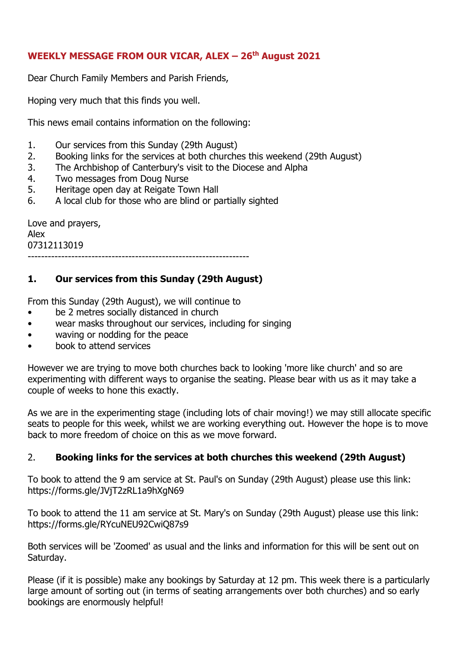## **WEEKLY MESSAGE FROM OUR VICAR, ALEX – 26th August 2021**

Dear Church Family Members and Parish Friends,

Hoping very much that this finds you well.

This news email contains information on the following:

- 1. Our services from this Sunday (29th August)
- 2. Booking links for the services at both churches this weekend (29th August)
- 3. The Archbishop of Canterbury's visit to the Diocese and Alpha
- 4. Two messages from Doug Nurse
- 5. Heritage open day at Reigate Town Hall
- 6. A local club for those who are blind or partially sighted

Love and prayers, Alex 07312113019 ------------------------------------------------------------------

## **1. Our services from this Sunday (29th August)**

From this Sunday (29th August), we will continue to

- be 2 metres socially distanced in church
- wear masks throughout our services, including for singing
- waving or nodding for the peace
- book to attend services

However we are trying to move both churches back to looking 'more like church' and so are experimenting with different ways to organise the seating. Please bear with us as it may take a couple of weeks to hone this exactly.

As we are in the experimenting stage (including lots of chair moving!) we may still allocate specific seats to people for this week, whilst we are working everything out. However the hope is to move back to more freedom of choice on this as we move forward.

## 2. **Booking links for the services at both churches this weekend (29th August)**

To book to attend the 9 am service at St. Paul's on Sunday (29th August) please use this link: https://forms.gle/JVjT2zRL1a9hXgN69

To book to attend the 11 am service at St. Mary's on Sunday (29th August) please use this link: https://forms.gle/RYcuNEU92CwiQ87s9

Both services will be 'Zoomed' as usual and the links and information for this will be sent out on Saturday.

Please (if it is possible) make any bookings by Saturday at 12 pm. This week there is a particularly large amount of sorting out (in terms of seating arrangements over both churches) and so early bookings are enormously helpful!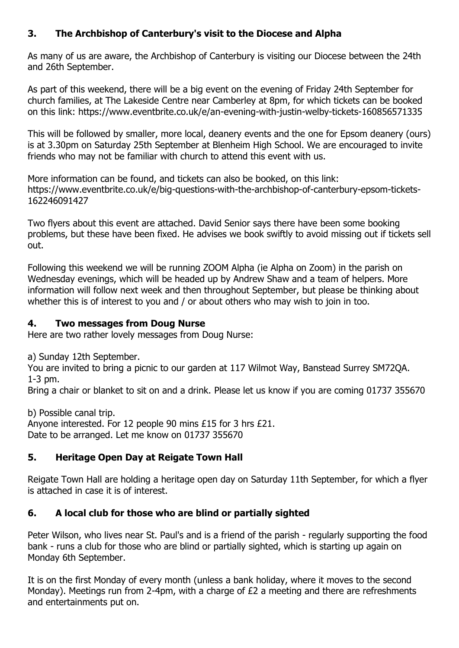# **3. The Archbishop of Canterbury's visit to the Diocese and Alpha**

As many of us are aware, the Archbishop of Canterbury is visiting our Diocese between the 24th and 26th September.

As part of this weekend, there will be a big event on the evening of Friday 24th September for church families, at The Lakeside Centre near Camberley at 8pm, for which tickets can be booked on this link: https://www.eventbrite.co.uk/e/an-evening-with-justin-welby-tickets-160856571335

This will be followed by smaller, more local, deanery events and the one for Epsom deanery (ours) is at 3.30pm on Saturday 25th September at Blenheim High School. We are encouraged to invite friends who may not be familiar with church to attend this event with us.

More information can be found, and tickets can also be booked, on this link: https://www.eventbrite.co.uk/e/big-questions-with-the-archbishop-of-canterbury-epsom-tickets-162246091427

Two flyers about this event are attached. David Senior says there have been some booking problems, but these have been fixed. He advises we book swiftly to avoid missing out if tickets sell out.

Following this weekend we will be running ZOOM Alpha (ie Alpha on Zoom) in the parish on Wednesday evenings, which will be headed up by Andrew Shaw and a team of helpers. More information will follow next week and then throughout September, but please be thinking about whether this is of interest to you and / or about others who may wish to join in too.

## **4. Two messages from Doug Nurse**

Here are two rather lovely messages from Doug Nurse:

a) Sunday 12th September.

You are invited to bring a picnic to our garden at 117 Wilmot Way, Banstead Surrey SM72QA. 1-3 pm.

Bring a chair or blanket to sit on and a drink. Please let us know if you are coming 01737 355670

b) Possible canal trip.

Anyone interested. For 12 people 90 mins £15 for 3 hrs £21. Date to be arranged. Let me know on 01737 355670

# **5. Heritage Open Day at Reigate Town Hall**

Reigate Town Hall are holding a heritage open day on Saturday 11th September, for which a flyer is attached in case it is of interest.

# **6. A local club for those who are blind or partially sighted**

Peter Wilson, who lives near St. Paul's and is a friend of the parish - regularly supporting the food bank - runs a club for those who are blind or partially sighted, which is starting up again on Monday 6th September.

It is on the first Monday of every month (unless a bank holiday, where it moves to the second Monday). Meetings run from 2-4pm, with a charge of £2 a meeting and there are refreshments and entertainments put on.